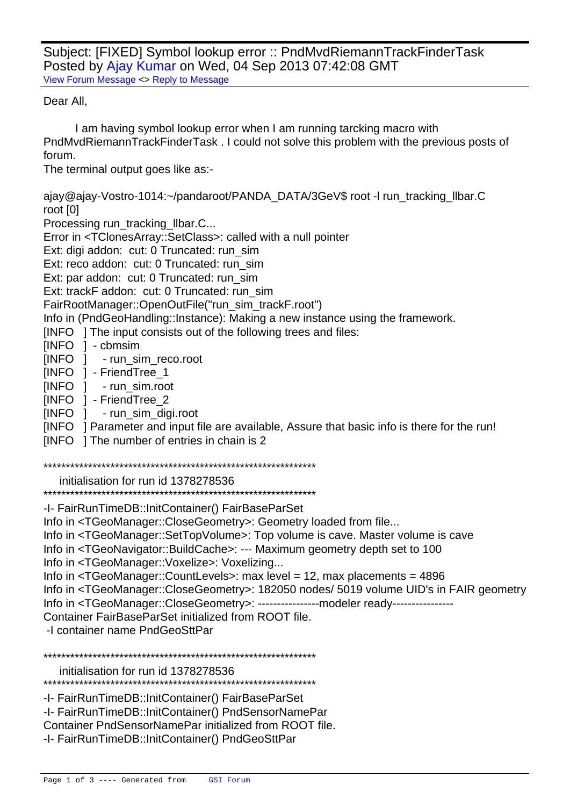Subject: [FIXED] Symbol lookup error :: PndMvdRiemannTrackFinderTask Posted by Ajay Kumar on Wed, 04 Sep 2013 07:42:08 GMT View Forum Message <> Reply to Message

## Dear All.

I am having symbol lookup error when I am running tarcking macro with PndMvdRiemannTrackFinderTask. I could not solve this problem with the previous posts of forum.

The terminal output goes like as:-

ajay@ajay-Vostro-1014:~/pandaroot/PANDA\_DATA/3GeV\$ root -I run\_tracking\_Ilbar.C root [0]

Processing run tracking Ilbar.C...

Error in <TClonesArray::SetClass>: called with a null pointer

Ext: digi addon: cut: 0 Truncated: run sim

Ext: reco addon: cut: 0 Truncated: run sim

Ext: par addon: cut: 0 Truncated: run sim

Ext: trackF addon: cut: 0 Truncated: run sim

FairRootManager::OpenOutFile("run\_sim\_trackF.root")

Info in (PndGeoHandling::Instance): Making a new instance using the framework.

[INFO ] The input consists out of the following trees and files:

[INFO ] - cbmsim

[INFO ] - run sim reco.root

- [INFO ] FriendTree 1
- [INFO ] run sim.root
- [INFO ] FriendTree 2
- [INFO ] run\_sim\_digi.root
- [INFO] Parameter and input file are available, Assure that basic info is there for the run!

[INFO ] The number of entries in chain is 2

initialisation for run id 1378278536

-I- FairRunTimeDB::InitContainer() FairBaseParSet

Info in <TGeoManager::CloseGeometry>: Geometry loaded from file...

Info in <TGeoManager::SetTopVolume>: Top volume is cave. Master volume is cave

Info in <TGeoNavigator::BuildCache>: --- Maximum geometry depth set to 100

Info in <TGeoManager::Voxelize>: Voxelizing...

Info in  $\leq$ TGeoManager::CountLevels>: max level = 12, max placements = 4896

Info in <TGeoManager::CloseGeometry>: 182050 nodes/ 5019 volume UID's in FAIR geometry

Info in <TGeoManager::CloseGeometry>: ----------------modeler ready---------------

Container FairBaseParSet initialized from ROOT file.

-I container name PndGeoSttPar

initialisation for run id 1378278536

\*\*\*\*\*\*\*\*\*\*\*\*\*\*\*\*\*\*\*\*\*\*\*\*\*\*\*\*\*\*\*\*\*\*\*\*

-I- FairRunTimeDB::InitContainer() FairBaseParSet

-I- FairRunTimeDB::InitContainer() PndSensorNamePar

Container PndSensorNamePar initialized from ROOT file.

-I- FairRunTimeDB::InitContainer() PndGeoSttPar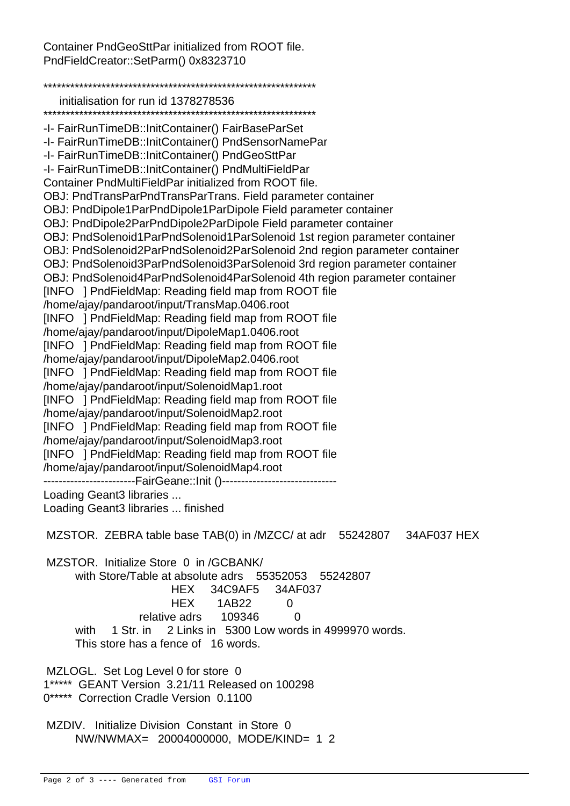Container PndGeoSttPar initialized from ROOT file. PndFieldCreator::SetParm() 0x8323710

\*\*\*\*\*\*\*\*\*\*\*\*\*\*\*\*\*\*\*\*\*\*\*\*\*\*\*\*\*\*\*\*\*\*\*\*\*\*\*\*\*\*\*\*\*\*\*\*\*\*\*\*\*\*\*\*\*\*\*\*\* initialisation for run id 1378278536 \*\*\*\*\*\*\*\*\*\*\*\*\*\*\*\*\*\*\*\*\*\*\*\*\*\*\*\*\*\*\*\*\*\*\*\*\*\*\*\*\*\*\*\*\*\*\*\*\*\*\*\*\*\*\*\*\*\*\*\*\* -I- FairRunTimeDB::InitContainer() FairBaseParSet -I- FairRunTimeDB::InitContainer() PndSensorNamePar -I- FairRunTimeDB::InitContainer() PndGeoSttPar -I- FairRunTimeDB::InitContainer() PndMultiFieldPar Container PndMultiFieldPar initialized from ROOT file. OBJ: PndTransPar PndTransPar Trans. Field parameter container OBJ: PndDipole1Par PndDipole1Par Dipole Field parameter container OBJ: PndDipole2Par PndDipole2Par Dipole Field parameter container OBJ: PndSolenoid1Par PndSolenoid1Par Solenoid 1st region parameter container OBJ: PndSolenoid2Par PndSolenoid2Par Solenoid 2nd region parameter container OBJ: PndSolenoid3Par PndSolenoid3Par Solenoid 3rd region parameter container OBJ: PndSolenoid4Par PndSolenoid4Par Solenoid 4th region parameter container [INFO ] PndFieldMap: Reading field map from ROOT file /home/ajay/pandaroot/input/TransMap.0406.root [INFO ] PndFieldMap: Reading field map from ROOT file /home/ajay/pandaroot/input/DipoleMap1.0406.root [INFO ] PndFieldMap: Reading field map from ROOT file /home/ajay/pandaroot/input/DipoleMap2.0406.root [INFO ] PndFieldMap: Reading field map from ROOT file /home/ajay/pandaroot/input/SolenoidMap1.root [INFO ] PndFieldMap: Reading field map from ROOT file /home/ajay/pandaroot/input/SolenoidMap2.root [INFO ] PndFieldMap: Reading field map from ROOT file /home/ajay/pandaroot/input/SolenoidMap3.root [INFO ] PndFieldMap: Reading field map from ROOT file /home/ajay/pandaroot/input/SolenoidMap4.root -------------------------FairGeane::Init ()--------------------Loading Geant3 libraries ... Loading Geant3 libraries ... finished MZSTOR. ZEBRA table base TAB(0) in /MZCC/ at adr 55242807 34AF037 HEX MZSTOR. Initialize Store 0 in /GCBANK/ with Store/Table at absolute adrs 55352053 55242807 HEX 34C9AF5 34AF037 HEX 1AB22 0 relative adrs 109346 0 with 1 Str. in 2 Links in 5300 Low words in 4999970 words. This store has a fence of 16 words. MZLOGL. Set Log Level 0 for store 0 1\*\*\*\*\* GEANT Version 3.21/11 Released on 100298 0\*\*\*\*\* Correction Cradle Version 0.1100 MZDIV. Initialize Division Constant in Store 0 NW/NWMAX= 20004000000, MODE/KIND= 1 2